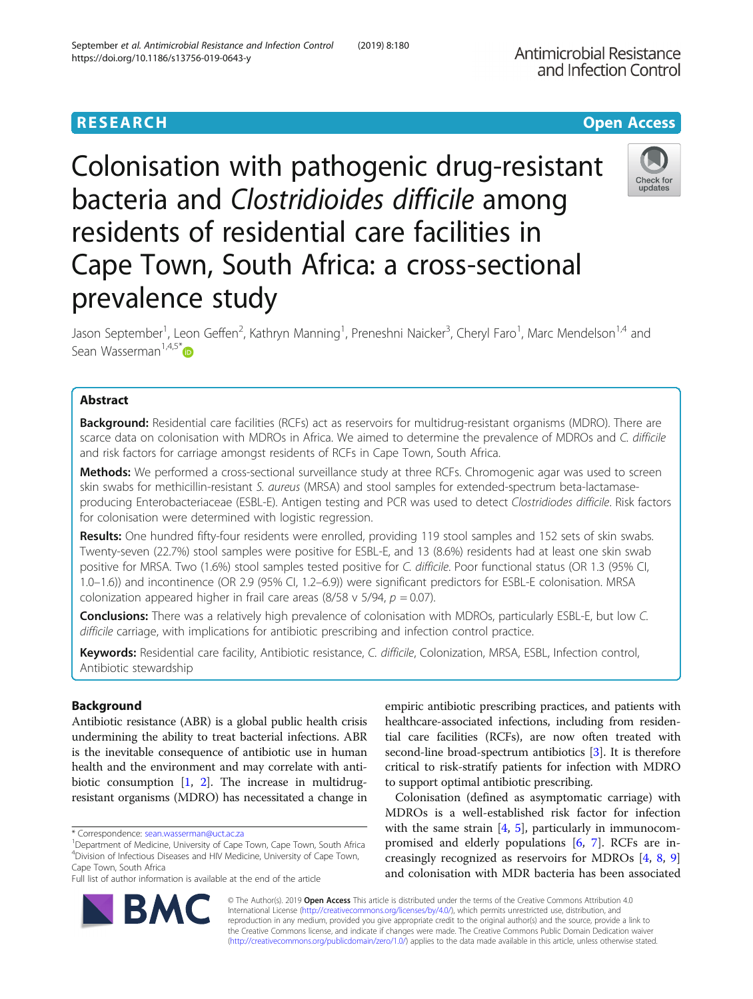# **RESEARCH CHE Open Access**

Colonisation with pathogenic drug-resistant bacteria and Clostridioides difficile among residents of residential care facilities in Cape Town, South Africa: a cross-sectional prevalence study

Jason September<sup>1</sup>, Leon Geffen<sup>2</sup>, Kathryn Manning<sup>1</sup>, Preneshni Naicker<sup>3</sup>, Cheryl Faro<sup>1</sup>, Marc Mendelson<sup>1,4</sup> and Sean Wasserman<sup>1,4,5[\\*](http://orcid.org/0000-0002-3508-6719)</sup> $\bullet$ 

# Abstract

Background: Residential care facilities (RCFs) act as reservoirs for multidrug-resistant organisms (MDRO). There are scarce data on colonisation with MDROs in Africa. We aimed to determine the prevalence of MDROs and C. difficile and risk factors for carriage amongst residents of RCFs in Cape Town, South Africa.

**Methods:** We performed a cross-sectional surveillance study at three RCFs. Chromogenic agar was used to screen skin swabs for methicillin-resistant S. aureus (MRSA) and stool samples for extended-spectrum beta-lactamaseproducing Enterobacteriaceae (ESBL-E). Antigen testing and PCR was used to detect Clostridiodes difficile. Risk factors for colonisation were determined with logistic regression.

Results: One hundred fifty-four residents were enrolled, providing 119 stool samples and 152 sets of skin swabs. Twenty-seven (22.7%) stool samples were positive for ESBL-E, and 13 (8.6%) residents had at least one skin swab positive for MRSA. Two (1.6%) stool samples tested positive for C. difficile. Poor functional status (OR 1.3 (95% CI, 1.0–1.6)) and incontinence (OR 2.9 (95% CI, 1.2–6.9)) were significant predictors for ESBL-E colonisation. MRSA colonization appeared higher in frail care areas (8/58 v 5/94,  $p = 0.07$ ).

Conclusions: There was a relatively high prevalence of colonisation with MDROs, particularly ESBL-E, but low C. difficile carriage, with implications for antibiotic prescribing and infection control practice.

Keywords: Residential care facility, Antibiotic resistance, C. difficile, Colonization, MRSA, ESBL, Infection control, Antibiotic stewardship

# Background

Antibiotic resistance (ABR) is a global public health crisis undermining the ability to treat bacterial infections. ABR is the inevitable consequence of antibiotic use in human health and the environment and may correlate with antibiotic consumption [\[1,](#page-6-0) [2](#page-6-0)]. The increase in multidrugresistant organisms (MDRO) has necessitated a change in

\* Correspondence: [sean.wasserman@uct.ac.za](mailto:sean.wasserman@uct.ac.za) <sup>1</sup>

RA

<sup>1</sup>Department of Medicine, University of Cape Town, Cape Town, South Africa 4 Division of Infectious Diseases and HIV Medicine, University of Cape Town, Cape Town, South Africa

Full list of author information is available at the end of the article

empiric antibiotic prescribing practices, and patients with healthcare-associated infections, including from residential care facilities (RCFs), are now often treated with second-line broad-spectrum antibiotics [\[3](#page-6-0)]. It is therefore critical to risk-stratify patients for infection with MDRO to support optimal antibiotic prescribing.

Colonisation (defined as asymptomatic carriage) with MDROs is a well-established risk factor for infection with the same strain  $[4, 5]$  $[4, 5]$  $[4, 5]$  $[4, 5]$  $[4, 5]$ , particularly in immunocompromised and elderly populations [[6,](#page-6-0) [7\]](#page-6-0). RCFs are increasingly recognized as reservoirs for MDROs [[4,](#page-6-0) [8](#page-6-0), [9](#page-6-0)] and colonisation with MDR bacteria has been associated

© The Author(s). 2019 **Open Access** This article is distributed under the terms of the Creative Commons Attribution 4.0 International License [\(http://creativecommons.org/licenses/by/4.0/](http://creativecommons.org/licenses/by/4.0/)), which permits unrestricted use, distribution, and reproduction in any medium, provided you give appropriate credit to the original author(s) and the source, provide a link to the Creative Commons license, and indicate if changes were made. The Creative Commons Public Domain Dedication waiver [\(http://creativecommons.org/publicdomain/zero/1.0/](http://creativecommons.org/publicdomain/zero/1.0/)) applies to the data made available in this article, unless otherwise stated.







Check for undates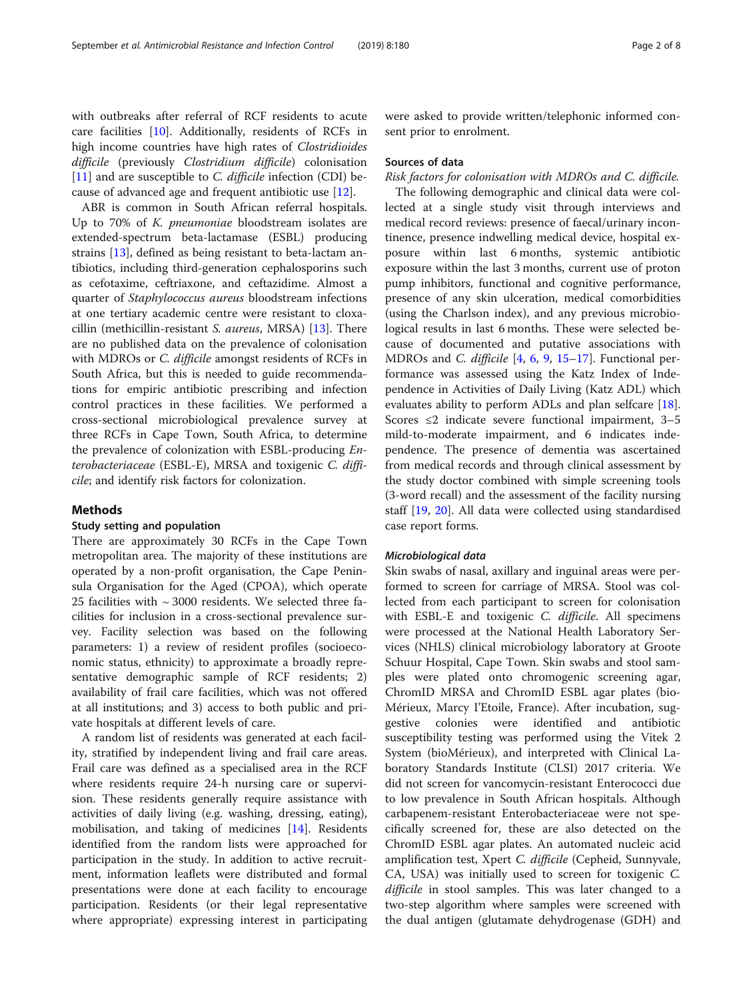with outbreaks after referral of RCF residents to acute care facilities [\[10](#page-6-0)]. Additionally, residents of RCFs in high income countries have high rates of Clostridioides difficile (previously Clostridium difficile) colonisation [[11\]](#page-6-0) and are susceptible to *C. difficile* infection (CDI) because of advanced age and frequent antibiotic use [[12](#page-6-0)].

ABR is common in South African referral hospitals. Up to 70% of K. *pneumoniae* bloodstream isolates are extended-spectrum beta-lactamase (ESBL) producing strains [[13\]](#page-6-0), defined as being resistant to beta-lactam antibiotics, including third-generation cephalosporins such as cefotaxime, ceftriaxone, and ceftazidime. Almost a quarter of Staphylococcus aureus bloodstream infections at one tertiary academic centre were resistant to cloxacillin (methicillin-resistant S. aureus, MRSA) [[13\]](#page-6-0). There are no published data on the prevalence of colonisation with MDROs or *C. difficile* amongst residents of RCFs in South Africa, but this is needed to guide recommendations for empiric antibiotic prescribing and infection control practices in these facilities. We performed a cross-sectional microbiological prevalence survey at three RCFs in Cape Town, South Africa, to determine the prevalence of colonization with ESBL-producing Enterobacteriaceae (ESBL-E), MRSA and toxigenic C. difficile; and identify risk factors for colonization.

# Methods

# Study setting and population

There are approximately 30 RCFs in the Cape Town metropolitan area. The majority of these institutions are operated by a non-profit organisation, the Cape Peninsula Organisation for the Aged (CPOA), which operate 25 facilities with  $\sim$  3000 residents. We selected three facilities for inclusion in a cross-sectional prevalence survey. Facility selection was based on the following parameters: 1) a review of resident profiles (socioeconomic status, ethnicity) to approximate a broadly representative demographic sample of RCF residents; 2) availability of frail care facilities, which was not offered at all institutions; and 3) access to both public and private hospitals at different levels of care.

A random list of residents was generated at each facility, stratified by independent living and frail care areas. Frail care was defined as a specialised area in the RCF where residents require 24-h nursing care or supervision. These residents generally require assistance with activities of daily living (e.g. washing, dressing, eating), mobilisation, and taking of medicines [[14\]](#page-6-0). Residents identified from the random lists were approached for participation in the study. In addition to active recruitment, information leaflets were distributed and formal presentations were done at each facility to encourage participation. Residents (or their legal representative where appropriate) expressing interest in participating were asked to provide written/telephonic informed consent prior to enrolment.

#### Sources of data

Risk factors for colonisation with MDROs and C. difficile.

The following demographic and clinical data were collected at a single study visit through interviews and medical record reviews: presence of faecal/urinary incontinence, presence indwelling medical device, hospital exposure within last 6 months, systemic antibiotic exposure within the last 3 months, current use of proton pump inhibitors, functional and cognitive performance, presence of any skin ulceration, medical comorbidities (using the Charlson index), and any previous microbiological results in last 6 months. These were selected because of documented and putative associations with MDROs and C. difficile [[4,](#page-6-0) [6](#page-6-0), [9,](#page-6-0) [15](#page-6-0)–[17\]](#page-6-0). Functional performance was assessed using the Katz Index of Independence in Activities of Daily Living (Katz ADL) which evaluates ability to perform ADLs and plan selfcare [\[18](#page-6-0)]. Scores  $\leq$ 2 indicate severe functional impairment, 3-5 mild-to-moderate impairment, and 6 indicates independence. The presence of dementia was ascertained from medical records and through clinical assessment by the study doctor combined with simple screening tools (3-word recall) and the assessment of the facility nursing staff [[19](#page-6-0), [20\]](#page-6-0). All data were collected using standardised case report forms.

# Microbiological data

Skin swabs of nasal, axillary and inguinal areas were performed to screen for carriage of MRSA. Stool was collected from each participant to screen for colonisation with ESBL-E and toxigenic C. difficile. All specimens were processed at the National Health Laboratory Services (NHLS) clinical microbiology laboratory at Groote Schuur Hospital, Cape Town. Skin swabs and stool samples were plated onto chromogenic screening agar, ChromID MRSA and ChromID ESBL agar plates (bio-Mérieux, Marcy I'Etoile, France). After incubation, suggestive colonies were identified and antibiotic susceptibility testing was performed using the Vitek 2 System (bioMérieux), and interpreted with Clinical Laboratory Standards Institute (CLSI) 2017 criteria. We did not screen for vancomycin-resistant Enterococci due to low prevalence in South African hospitals. Although carbapenem-resistant Enterobacteriaceae were not specifically screened for, these are also detected on the ChromID ESBL agar plates. An automated nucleic acid amplification test, Xpert C. difficile (Cepheid, Sunnyvale, CA, USA) was initially used to screen for toxigenic C. difficile in stool samples. This was later changed to a two-step algorithm where samples were screened with the dual antigen (glutamate dehydrogenase (GDH) and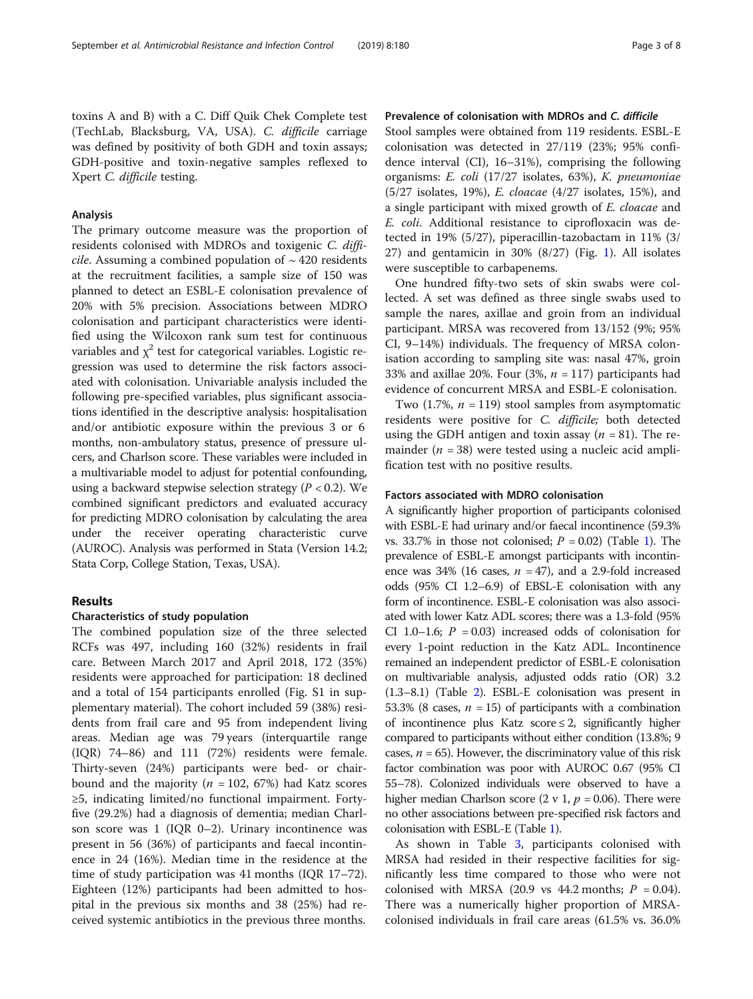toxins A and B) with a C. Diff Quik Chek Complete test (TechLab, Blacksburg, VA, USA). C. difficile carriage was defined by positivity of both GDH and toxin assays; GDH-positive and toxin-negative samples reflexed to Xpert C. difficile testing.

#### Analysis

The primary outcome measure was the proportion of residents colonised with MDROs and toxigenic C. difficile. Assuming a combined population of  $\sim$  420 residents at the recruitment facilities, a sample size of 150 was planned to detect an ESBL-E colonisation prevalence of 20% with 5% precision. Associations between MDRO colonisation and participant characteristics were identified using the Wilcoxon rank sum test for continuous variables and  $\chi^2$  test for categorical variables. Logistic regression was used to determine the risk factors associated with colonisation. Univariable analysis included the following pre-specified variables, plus significant associations identified in the descriptive analysis: hospitalisation and/or antibiotic exposure within the previous 3 or 6 months, non-ambulatory status, presence of pressure ulcers, and Charlson score. These variables were included in a multivariable model to adjust for potential confounding, using a backward stepwise selection strategy  $(P < 0.2)$ . We combined significant predictors and evaluated accuracy for predicting MDRO colonisation by calculating the area under the receiver operating characteristic curve (AUROC). Analysis was performed in Stata (Version 14.2; Stata Corp, College Station, Texas, USA).

# Results

#### Characteristics of study population

The combined population size of the three selected RCFs was 497, including 160 (32%) residents in frail care. Between March 2017 and April 2018, 172 (35%) residents were approached for participation: 18 declined and a total of 154 participants enrolled (Fig. S1 in supplementary material). The cohort included 59 (38%) residents from frail care and 95 from independent living areas. Median age was 79 years (interquartile range (IQR) 74–86) and 111 (72%) residents were female. Thirty-seven (24%) participants were bed- or chairbound and the majority ( $n = 102, 67\%)$  had Katz scores ≥5, indicating limited/no functional impairment. Fortyfive (29.2%) had a diagnosis of dementia; median Charlson score was  $1$  (IQR 0–2). Urinary incontinence was present in 56 (36%) of participants and faecal incontinence in 24 (16%). Median time in the residence at the time of study participation was 41 months (IQR 17–72). Eighteen (12%) participants had been admitted to hospital in the previous six months and 38 (25%) had received systemic antibiotics in the previous three months.

# Prevalence of colonisation with MDROs and C. difficile

Stool samples were obtained from 119 residents. ESBL-E colonisation was detected in 27/119 (23%; 95% confidence interval (CI), 16–31%), comprising the following organisms: E. coli (17/27 isolates, 63%), K. pneumoniae (5/27 isolates, 19%), E. cloacae (4/27 isolates, 15%), and a single participant with mixed growth of E. cloacae and E. coli. Additional resistance to ciprofloxacin was detected in 19% (5/27), piperacillin-tazobactam in 11% (3/ 27) and gentamicin in 30% (8/27) (Fig. [1](#page-3-0)). All isolates were susceptible to carbapenems.

One hundred fifty-two sets of skin swabs were collected. A set was defined as three single swabs used to sample the nares, axillae and groin from an individual participant. MRSA was recovered from 13/152 (9%; 95% CI, 9–14%) individuals. The frequency of MRSA colonisation according to sampling site was: nasal 47%, groin 33% and axillae 20%. Four (3%,  $n = 117$ ) participants had evidence of concurrent MRSA and ESBL-E colonisation.

Two (1.7%,  $n = 119$ ) stool samples from asymptomatic residents were positive for C. difficile; both detected using the GDH antigen and toxin assay  $(n = 81)$ . The remainder ( $n = 38$ ) were tested using a nucleic acid amplification test with no positive results.

#### Factors associated with MDRO colonisation

A significantly higher proportion of participants colonised with ESBL-E had urinary and/or faecal incontinence (59.3% vs. 33.7% in those not colonised;  $P = 0.02$ ) (Table [1\)](#page-3-0). The prevalence of ESBL-E amongst participants with incontinence was 34% (16 cases,  $n = 47$ ), and a 2.9-fold increased odds (95% CI 1.2–6.9) of EBSL-E colonisation with any form of incontinence. ESBL-E colonisation was also associated with lower Katz ADL scores; there was a 1.3-fold (95% CI 1.0–1.6;  $P = 0.03$ ) increased odds of colonisation for every 1-point reduction in the Katz ADL. Incontinence remained an independent predictor of ESBL-E colonisation on multivariable analysis, adjusted odds ratio (OR) 3.2 (1.3–8.1) (Table [2](#page-4-0)). ESBL-E colonisation was present in 53.3% (8 cases,  $n = 15$ ) of participants with a combination of incontinence plus Katz score  $\leq$  2, significantly higher compared to participants without either condition (13.8%; 9 cases,  $n = 65$ ). However, the discriminatory value of this risk factor combination was poor with AUROC 0.67 (95% CI 55–78). Colonized individuals were observed to have a higher median Charlson score  $(2 \text{ v } 1, p = 0.06)$ . There were no other associations between pre-specified risk factors and colonisation with ESBL-E (Table [1](#page-3-0)).

As shown in Table [3](#page-4-0), participants colonised with MRSA had resided in their respective facilities for significantly less time compared to those who were not colonised with MRSA (20.9 vs 44.2 months;  $P = 0.04$ ). There was a numerically higher proportion of MRSAcolonised individuals in frail care areas (61.5% vs. 36.0%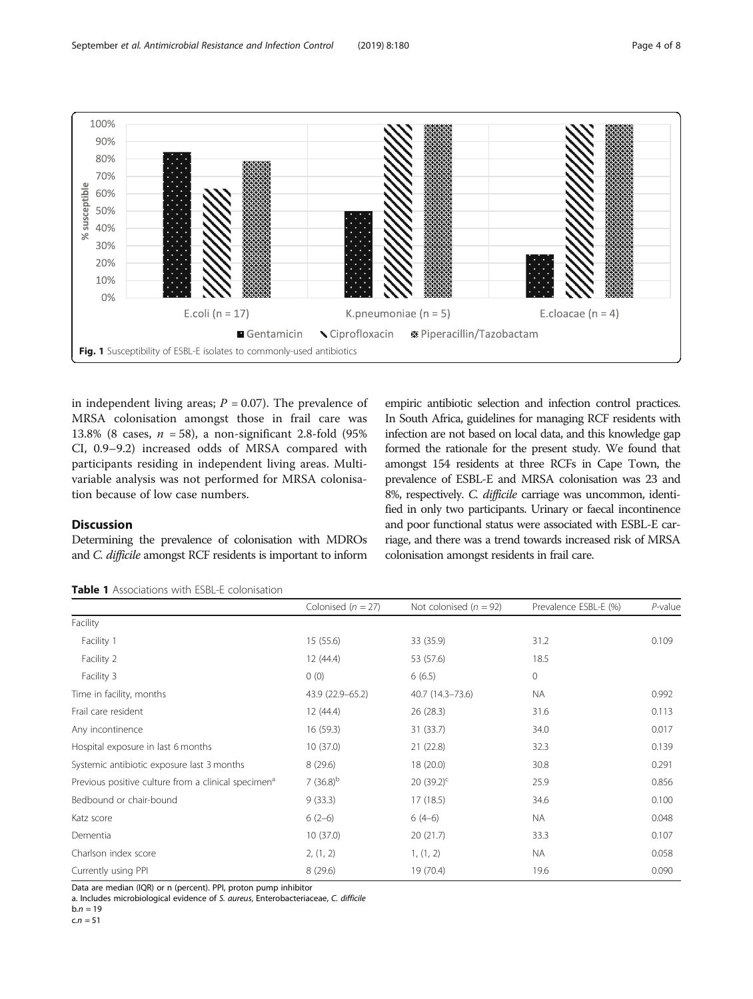<span id="page-3-0"></span>

in independent living areas;  $P = 0.07$ ). The prevalence of MRSA colonisation amongst those in frail care was 13.8% (8 cases,  $n = 58$ ), a non-significant 2.8-fold (95%) CI, 0.9–9.2) increased odds of MRSA compared with participants residing in independent living areas. Multivariable analysis was not performed for MRSA colonisation because of low case numbers.

# **Discussion**

Determining the prevalence of colonisation with MDROs and C. difficile amongst RCF residents is important to inform

empiric antibiotic selection and infection control practices. In South Africa, guidelines for managing RCF residents with infection are not based on local data, and this knowledge gap formed the rationale for the present study. We found that amongst 154 residents at three RCFs in Cape Town, the prevalence of ESBL-E and MRSA colonisation was 23 and 8%, respectively. C. difficile carriage was uncommon, identified in only two participants. Urinary or faecal incontinence and poor functional status were associated with ESBL-E carriage, and there was a trend towards increased risk of MRSA colonisation amongst residents in frail care.

| <b>Table 1</b> Associations with ESBL-E colonisation |  |
|------------------------------------------------------|--|
|------------------------------------------------------|--|

|                                                                 | Colonised ( $n = 27$ ) | Not colonised ( $n = 92$ ) | Prevalence ESBL-E (%) | $P$ -value |
|-----------------------------------------------------------------|------------------------|----------------------------|-----------------------|------------|
| Facility                                                        |                        |                            |                       |            |
| Facility 1                                                      | 15 (55.6)              | 33 (35.9)                  | 31.2                  | 0.109      |
| Facility 2                                                      | 12 (44.4)              | 53 (57.6)                  | 18.5                  |            |
| Facility 3                                                      | 0(0)                   | 6(6.5)                     | $\circ$               |            |
| Time in facility, months                                        | 43.9 (22.9-65.2)       | 40.7 (14.3-73.6)           | <b>NA</b>             | 0.992      |
| Frail care resident                                             | 12 (44.4)              | 26 (28.3)                  | 31.6                  | 0.113      |
| Any incontinence                                                | 16(59.3)               | 31 (33.7)                  | 34.0                  | 0.017      |
| Hospital exposure in last 6 months                              | 10(37.0)               | 21(22.8)                   | 32.3                  | 0.139      |
| Systemic antibiotic exposure last 3 months                      | 8(29.6)                | 18 (20.0)                  | 30.8                  | 0.291      |
| Previous positive culture from a clinical specimen <sup>a</sup> | 7 $(36.8)^{b}$         | 20 $(39.2)^c$              | 25.9                  | 0.856      |
| Bedbound or chair-bound                                         | 9(33.3)                | 17 (18.5)                  | 34.6                  | 0.100      |
| Katz score                                                      | $6(2-6)$               | $6(4-6)$                   | NA.                   | 0.048      |
| Dementia                                                        | 10(37.0)               | 20(21.7)                   | 33.3                  | 0.107      |
| Charlson index score                                            | 2, (1, 2)              | 1, (1, 2)                  | NA                    | 0.058      |
| Currently using PPI                                             | 8(29.6)                | 19 (70.4)                  | 19.6                  | 0.090      |

Data are median (IQR) or n (percent). PPI, proton pump inhibitor

a. Includes microbiological evidence of S. aureus, Enterobacteriaceae, C. difficile

 $b.n = 19$  $c.n = 51$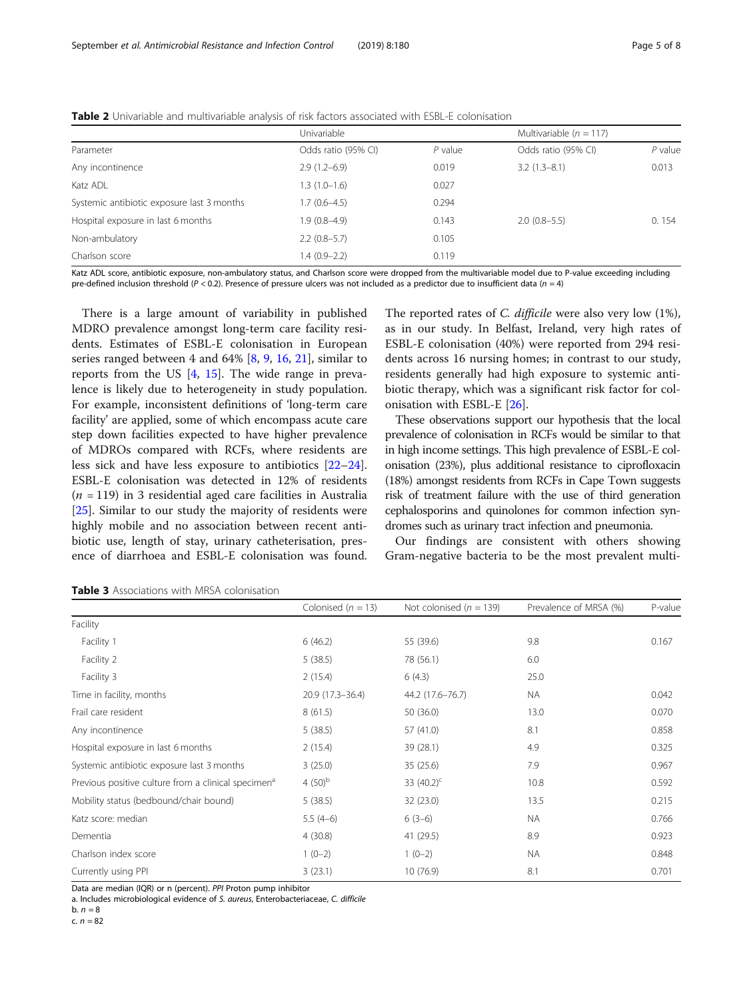<span id="page-4-0"></span>

|                                            | Univariable         |           | Multivariable ( $n = 117$ ) |           |  |
|--------------------------------------------|---------------------|-----------|-----------------------------|-----------|--|
| Parameter                                  | Odds ratio (95% CI) | $P$ value | Odds ratio (95% CI)         | $P$ value |  |
| Any incontinence                           | $2.9(1.2-6.9)$      | 0.019     | $3.2(1.3-8.1)$              | 0.013     |  |
| Katz ADL                                   | $1.3(1.0-1.6)$      | 0.027     |                             |           |  |
| Systemic antibiotic exposure last 3 months | $1.7(0.6-4.5)$      | 0.294     |                             |           |  |
| Hospital exposure in last 6 months         | 1.9 (0.8–4.9)       | 0.143     | $2.0(0.8-5.5)$              | 0.154     |  |
| Non-ambulatory                             | $2.2(0.8-5.7)$      | 0.105     |                             |           |  |
| Charlson score                             | $1.4(0.9-2.2)$      | 0.119     |                             |           |  |

Katz ADL score, antibiotic exposure, non-ambulatory status, and Charlson score were dropped from the multivariable model due to P-value exceeding including pre-defined inclusion threshold ( $P < 0.2$ ). Presence of pressure ulcers was not included as a predictor due to insufficient data ( $n = 4$ )

There is a large amount of variability in published MDRO prevalence amongst long-term care facility residents. Estimates of ESBL-E colonisation in European series ranged between 4 and 64% [\[8](#page-6-0), [9](#page-6-0), [16](#page-6-0), [21](#page-7-0)], similar to reports from the US [[4,](#page-6-0) [15](#page-6-0)]. The wide range in prevalence is likely due to heterogeneity in study population. For example, inconsistent definitions of 'long-term care facility' are applied, some of which encompass acute care step down facilities expected to have higher prevalence of MDROs compared with RCFs, where residents are less sick and have less exposure to antibiotics [[22](#page-7-0)–[24](#page-7-0)]. ESBL-E colonisation was detected in 12% of residents  $(n = 119)$  in 3 residential aged care facilities in Australia [[25\]](#page-7-0). Similar to our study the majority of residents were highly mobile and no association between recent antibiotic use, length of stay, urinary catheterisation, presence of diarrhoea and ESBL-E colonisation was found.

The reported rates of *C. difficile* were also very low  $(1\%)$ , as in our study. In Belfast, Ireland, very high rates of ESBL-E colonisation (40%) were reported from 294 residents across 16 nursing homes; in contrast to our study, residents generally had high exposure to systemic antibiotic therapy, which was a significant risk factor for colonisation with ESBL-E [\[26\]](#page-7-0).

These observations support our hypothesis that the local prevalence of colonisation in RCFs would be similar to that in high income settings. This high prevalence of ESBL-E colonisation (23%), plus additional resistance to ciprofloxacin (18%) amongst residents from RCFs in Cape Town suggests risk of treatment failure with the use of third generation cephalosporins and quinolones for common infection syndromes such as urinary tract infection and pneumonia.

Our findings are consistent with others showing Gram-negative bacteria to be the most prevalent multi-

| Colonised ( $n = 13$ ) | Not colonised ( $n = 139$ ) | Prevalence of MRSA (%) | P-value |  |  |  |  |
|------------------------|-----------------------------|------------------------|---------|--|--|--|--|
|                        |                             |                        |         |  |  |  |  |
| 6(46.2)                | 55 (39.6)                   | 9.8                    | 0.167   |  |  |  |  |
| 5(38.5)                | 78 (56.1)                   | 6.0                    |         |  |  |  |  |
| 2(15.4)                | 6(4.3)                      | 25.0                   |         |  |  |  |  |
| 20.9 (17.3-36.4)       | 44.2 (17.6-76.7)            | <b>NA</b>              | 0.042   |  |  |  |  |
| 8(61.5)                | 50(36.0)                    | 13.0                   | 0.070   |  |  |  |  |
| 5(38.5)                | 57 (41.0)                   | 8.1                    | 0.858   |  |  |  |  |
| 2(15.4)                | 39 (28.1)                   | 4.9                    | 0.325   |  |  |  |  |
| 3(25.0)                | 35(25.6)                    | 7.9                    | 0.967   |  |  |  |  |
| 4 $(50)^b$             | 33 $(40.2)^{c}$             | 10.8                   | 0.592   |  |  |  |  |
| 5(38.5)                | 32 (23.0)                   | 13.5                   | 0.215   |  |  |  |  |
| $5.5(4-6)$             | $6(3-6)$                    | <b>NA</b>              | 0.766   |  |  |  |  |
| 4(30.8)                | 41 (29.5)                   | 8.9                    | 0.923   |  |  |  |  |
| $1(0-2)$               | $1(0-2)$                    | <b>NA</b>              | 0.848   |  |  |  |  |
| 3(23.1)                | 10(76.9)                    | 8.1                    | 0.701   |  |  |  |  |
|                        |                             |                        |         |  |  |  |  |

Table 3 Associations with MRSA colonisation

Data are median (IQR) or n (percent). PPI Proton pump inhibitor

a. Includes microbiological evidence of S. aureus, Enterobacteriaceae, C. difficile

b.  $n = 8$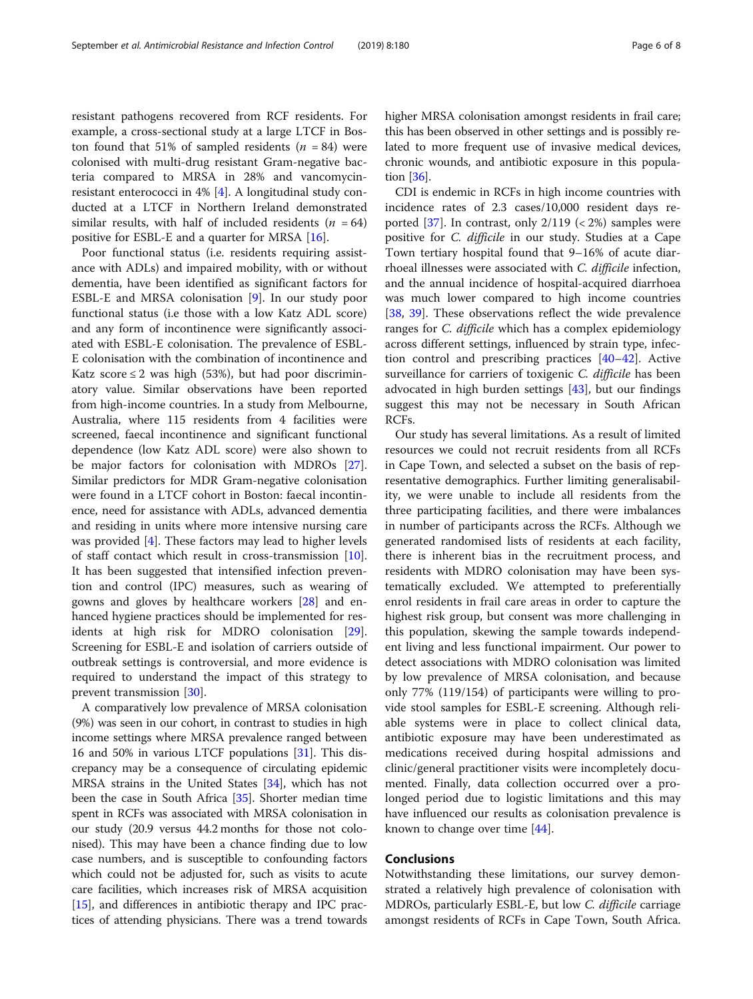resistant pathogens recovered from RCF residents. For example, a cross-sectional study at a large LTCF in Boston found that 51% of sampled residents  $(n = 84)$  were colonised with multi-drug resistant Gram-negative bacteria compared to MRSA in 28% and vancomycinresistant enterococci in 4% [[4](#page-6-0)]. A longitudinal study conducted at a LTCF in Northern Ireland demonstrated similar results, with half of included residents ( $n = 64$ ) positive for ESBL-E and a quarter for MRSA [\[16](#page-6-0)].

Poor functional status (i.e. residents requiring assistance with ADLs) and impaired mobility, with or without dementia, have been identified as significant factors for ESBL-E and MRSA colonisation [[9](#page-6-0)]. In our study poor functional status (i.e those with a low Katz ADL score) and any form of incontinence were significantly associated with ESBL-E colonisation. The prevalence of ESBL-E colonisation with the combination of incontinence and Katz score  $\leq$  2 was high (53%), but had poor discriminatory value. Similar observations have been reported from high-income countries. In a study from Melbourne, Australia, where 115 residents from 4 facilities were screened, faecal incontinence and significant functional dependence (low Katz ADL score) were also shown to be major factors for colonisation with MDROs [\[27](#page-7-0)]. Similar predictors for MDR Gram-negative colonisation were found in a LTCF cohort in Boston: faecal incontinence, need for assistance with ADLs, advanced dementia and residing in units where more intensive nursing care was provided [[4\]](#page-6-0). These factors may lead to higher levels of staff contact which result in cross-transmission [\[10](#page-6-0)]. It has been suggested that intensified infection prevention and control (IPC) measures, such as wearing of gowns and gloves by healthcare workers [\[28](#page-7-0)] and enhanced hygiene practices should be implemented for residents at high risk for MDRO colonisation [\[29](#page-7-0)]. Screening for ESBL-E and isolation of carriers outside of outbreak settings is controversial, and more evidence is required to understand the impact of this strategy to prevent transmission [\[30](#page-7-0)].

A comparatively low prevalence of MRSA colonisation (9%) was seen in our cohort, in contrast to studies in high income settings where MRSA prevalence ranged between 16 and 50% in various LTCF populations [\[31\]](#page-7-0). This discrepancy may be a consequence of circulating epidemic MRSA strains in the United States [\[34\]](#page-7-0), which has not been the case in South Africa [[35](#page-7-0)]. Shorter median time spent in RCFs was associated with MRSA colonisation in our study (20.9 versus 44.2 months for those not colonised). This may have been a chance finding due to low case numbers, and is susceptible to confounding factors which could not be adjusted for, such as visits to acute care facilities, which increases risk of MRSA acquisition [[15](#page-6-0)], and differences in antibiotic therapy and IPC practices of attending physicians. There was a trend towards higher MRSA colonisation amongst residents in frail care; this has been observed in other settings and is possibly related to more frequent use of invasive medical devices, chronic wounds, and antibiotic exposure in this population [\[36\]](#page-7-0).

CDI is endemic in RCFs in high income countries with incidence rates of 2.3 cases/10,000 resident days re-ported [\[37\]](#page-7-0). In contrast, only  $2/119$  (< 2%) samples were positive for C. difficile in our study. Studies at a Cape Town tertiary hospital found that 9–16% of acute diarrhoeal illnesses were associated with C. difficile infection, and the annual incidence of hospital-acquired diarrhoea was much lower compared to high income countries [[38,](#page-7-0) [39\]](#page-7-0). These observations reflect the wide prevalence ranges for C. difficile which has a complex epidemiology across different settings, influenced by strain type, infection control and prescribing practices [\[40](#page-7-0)–[42](#page-7-0)]. Active surveillance for carriers of toxigenic C. difficile has been advocated in high burden settings [[43](#page-7-0)], but our findings suggest this may not be necessary in South African RCFs.

Our study has several limitations. As a result of limited resources we could not recruit residents from all RCFs in Cape Town, and selected a subset on the basis of representative demographics. Further limiting generalisability, we were unable to include all residents from the three participating facilities, and there were imbalances in number of participants across the RCFs. Although we generated randomised lists of residents at each facility, there is inherent bias in the recruitment process, and residents with MDRO colonisation may have been systematically excluded. We attempted to preferentially enrol residents in frail care areas in order to capture the highest risk group, but consent was more challenging in this population, skewing the sample towards independent living and less functional impairment. Our power to detect associations with MDRO colonisation was limited by low prevalence of MRSA colonisation, and because only 77% (119/154) of participants were willing to provide stool samples for ESBL-E screening. Although reliable systems were in place to collect clinical data, antibiotic exposure may have been underestimated as medications received during hospital admissions and clinic/general practitioner visits were incompletely documented. Finally, data collection occurred over a prolonged period due to logistic limitations and this may have influenced our results as colonisation prevalence is known to change over time [\[44](#page-7-0)].

# Conclusions

Notwithstanding these limitations, our survey demonstrated a relatively high prevalence of colonisation with MDROs, particularly ESBL-E, but low C. difficile carriage amongst residents of RCFs in Cape Town, South Africa.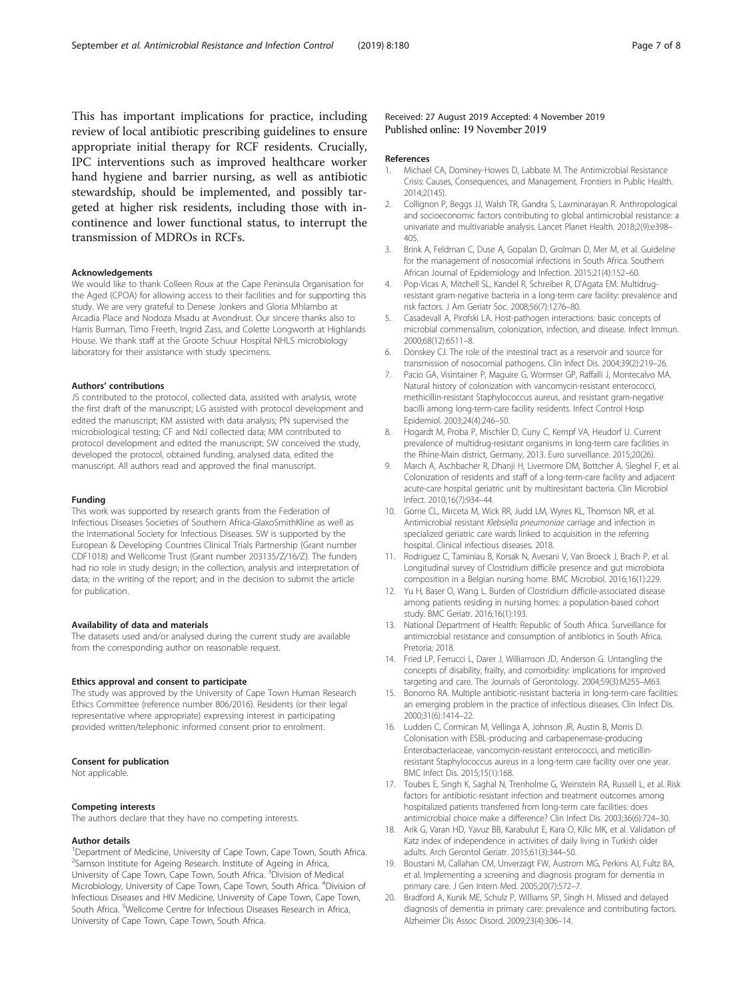<span id="page-6-0"></span>This has important implications for practice, including review of local antibiotic prescribing guidelines to ensure appropriate initial therapy for RCF residents. Crucially, IPC interventions such as improved healthcare worker hand hygiene and barrier nursing, as well as antibiotic stewardship, should be implemented, and possibly targeted at higher risk residents, including those with incontinence and lower functional status, to interrupt the transmission of MDROs in RCFs.

#### Acknowledgements

We would like to thank Colleen Roux at the Cape Peninsula Organisation for the Aged (CPOA) for allowing access to their facilities and for supporting this study. We are very grateful to Denese Jonkers and Gloria Mhlambo at Arcadia Place and Nodoza Msadu at Avondrust. Our sincere thanks also to Harris Burman, Timo Freeth, Ingrid Zass, and Colette Longworth at Highlands House. We thank staff at the Groote Schuur Hospital NHLS microbiology laboratory for their assistance with study specimens.

#### Authors' contributions

JS contributed to the protocol, collected data, assisted with analysis, wrote the first draft of the manuscript; LG assisted with protocol development and edited the manuscript; KM assisted with data analysis; PN supervised the microbiological testing; CF and NdJ collected data; MM contributed to protocol development and edited the manuscript; SW conceived the study, developed the protocol, obtained funding, analysed data, edited the manuscript. All authors read and approved the final manuscript.

#### Funding

This work was supported by research grants from the Federation of Infectious Diseases Societies of Southern Africa-GlaxoSmithKline as well as the International Society for Infectious Diseases. SW is supported by the European & Developing Countries Clinical Trials Partnership (Grant number CDF1018) and Wellcome Trust (Grant number 203135/Z/16/Z). The funders had no role in study design; in the collection, analysis and interpretation of data; in the writing of the report; and in the decision to submit the article for publication.

#### Availability of data and materials

The datasets used and/or analysed during the current study are available from the corresponding author on reasonable request.

#### Ethics approval and consent to participate

The study was approved by the University of Cape Town Human Research Ethics Committee (reference number 806/2016). Residents (or their legal representative where appropriate) expressing interest in participating provided written/telephonic informed consent prior to enrolment.

#### Consent for publication

Not applicable.

### Competing interests

The authors declare that they have no competing interests.

#### Author details

<sup>1</sup>Department of Medicine, University of Cape Town, Cape Town, South Africa. <sup>2</sup>Samson Institute for Ageing Research. Institute of Ageing in Africa, University of Cape Town, Cape Town, South Africa. <sup>3</sup> Division of Medical Microbiology, University of Cape Town, Cape Town, South Africa. <sup>4</sup>Division of Infectious Diseases and HIV Medicine, University of Cape Town, Cape Town, South Africa. <sup>5</sup>Wellcome Centre for Infectious Diseases Research in Africa, University of Cape Town, Cape Town, South Africa.

#### Received: 27 August 2019 Accepted: 4 November 2019 Published online: 19 November 2019

#### References

- 1. Michael CA, Dominey-Howes D, Labbate M. The Antimicrobial Resistance Crisis: Causes, Consequences, and Management. Frontiers in Public Health. 2014;2(145).
- 2. Collignon P, Beggs JJ, Walsh TR, Gandra S, Laxminarayan R. Anthropological and socioeconomic factors contributing to global antimicrobial resistance: a univariate and multivariable analysis. Lancet Planet Health. 2018;2(9):e398– 405.
- 3. Brink A, Feldman C, Duse A, Gopalan D, Grolman D, Mer M, et al. Guideline for the management of nosocomial infections in South Africa. Southern African Journal of Epidemiology and Infection. 2015;21(4):152–60.
- 4. Pop-Vicas A, Mitchell SL, Kandel R, Schreiber R, D'Agata EM. Multidrugresistant gram-negative bacteria in a long-term care facility: prevalence and risk factors. J Am Geriatr Soc. 2008;56(7):1276–80.
- 5. Casadevall A, Pirofski LA. Host-pathogen interactions: basic concepts of microbial commensalism, colonization, infection, and disease. Infect Immun. 2000;68(12):6511–8.
- 6. Donskey CJ. The role of the intestinal tract as a reservoir and source for transmission of nosocomial pathogens. Clin Infect Dis. 2004;39(2):219–26.
- 7. Pacio GA, Visintainer P, Maguire G, Wormser GP, Raffalli J, Montecalvo MA. Natural history of colonization with vancomycin-resistant enterococci, methicillin-resistant Staphylococcus aureus, and resistant gram-negative bacilli among long-term-care facility residents. Infect Control Hosp Epidemiol. 2003;24(4):246–50.
- 8. Hogardt M, Proba P, Mischler D, Cuny C, Kempf VA, Heudorf U. Current prevalence of multidrug-resistant organisms in long-term care facilities in the Rhine-Main district, Germany, 2013. Euro surveillance. 2015;20(26).
- 9. March A, Aschbacher R, Dhanji H, Livermore DM, Bottcher A, Sleghel F, et al. Colonization of residents and staff of a long-term-care facility and adjacent acute-care hospital geriatric unit by multiresistant bacteria. Clin Microbiol Infect. 2010;16(7):934–44.
- 10. Gorrie CL, Mirceta M, Wick RR, Judd LM, Wyres KL, Thomson NR, et al. Antimicrobial resistant Klebsiella pneumoniae carriage and infection in specialized geriatric care wards linked to acquisition in the referring hospital. Clinical infectious diseases. 2018.
- 11. Rodriguez C, Taminiau B, Korsak N, Avesani V, Van Broeck J, Brach P, et al. Longitudinal survey of Clostridium difficile presence and gut microbiota composition in a Belgian nursing home. BMC Microbiol. 2016;16(1):229.
- 12. Yu H, Baser O, Wang L. Burden of Clostridium difficile-associated disease among patients residing in nursing homes: a population-based cohort study. BMC Geriatr. 2016;16(1):193.
- 13. National Department of Health: Republic of South Africa. Surveillance for antimicrobial resistance and consumption of antibiotics in South Africa. Pretoria; 2018.
- 14. Fried LP, Ferrucci L, Darer J, Williamson JD, Anderson G. Untangling the concepts of disability, frailty, and comorbidity: implications for improved targeting and care. The Journals of Gerontology. 2004;59(3):M255–M63.
- 15. Bonomo RA. Multiple antibiotic-resistant bacteria in long-term-care facilities: an emerging problem in the practice of infectious diseases. Clin Infect Dis. 2000;31(6):1414–22.
- 16. Ludden C, Cormican M, Vellinga A, Johnson JR, Austin B, Morris D. Colonisation with ESBL-producing and carbapenemase-producing Enterobacteriaceae, vancomycin-resistant enterococci, and meticillinresistant Staphylococcus aureus in a long-term care facility over one year. BMC Infect Dis. 2015;15(1):168.
- 17. Toubes E, Singh K, Saghal N, Trenholme G, Weinstein RA, Russell L, et al. Risk factors for antibiotic-resistant infection and treatment outcomes among hospitalized patients transferred from long-term care facilities: does antimicrobial choice make a difference? Clin Infect Dis. 2003;36(6):724–30.
- 18. Arik G, Varan HD, Yavuz BB, Karabulut E, Kara O, Kilic MK, et al. Validation of Katz index of independence in activities of daily living in Turkish older adults. Arch Gerontol Geriatr. 2015;61(3):344–50.
- 19. Boustani M, Callahan CM, Unverzagt FW, Austrom MG, Perkins AJ, Fultz BA, et al. Implementing a screening and diagnosis program for dementia in primary care. J Gen Intern Med. 2005;20(7):572–7.
- 20. Bradford A, Kunik ME, Schulz P, Williams SP, Singh H. Missed and delayed diagnosis of dementia in primary care: prevalence and contributing factors. Alzheimer Dis Assoc Disord. 2009;23(4):306–14.